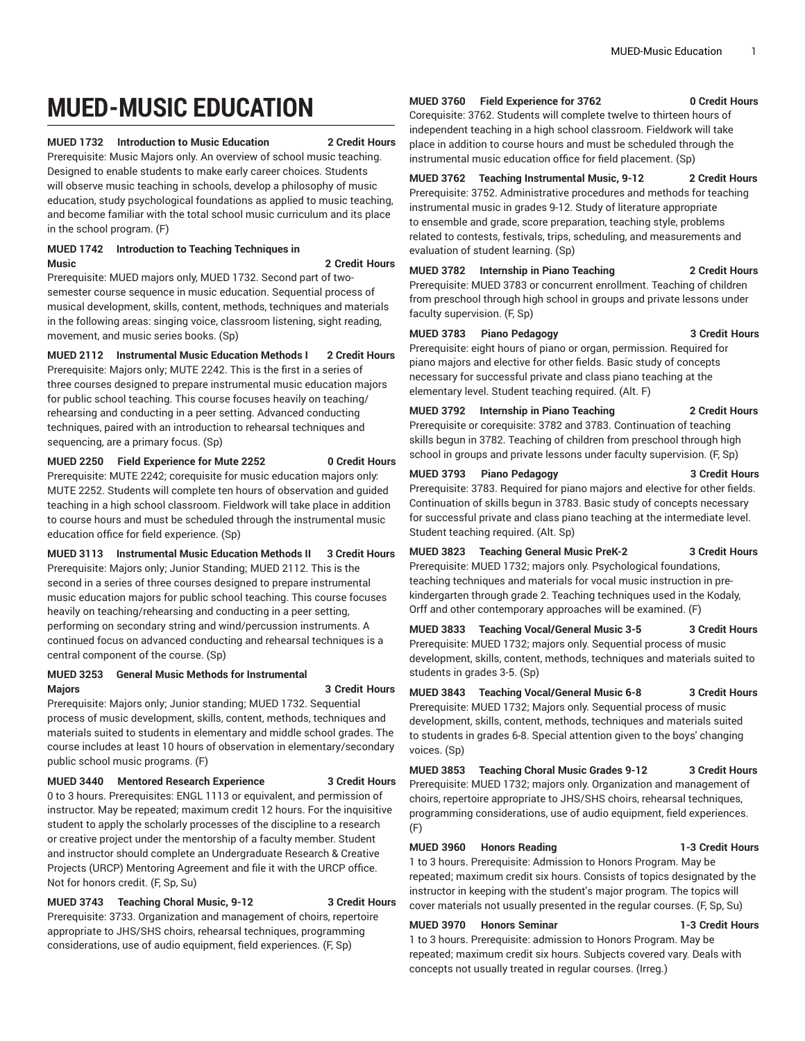# **MUED-MUSIC EDUCATION**

### **MUED 1732 Introduction to Music Education 2 Credit Hours**

Prerequisite: Music Majors only. An overview of school music teaching. Designed to enable students to make early career choices. Students will observe music teaching in schools, develop a philosophy of music education, study psychological foundations as applied to music teaching, and become familiar with the total school music curriculum and its place in the school program. (F)

### **MUED 1742 Introduction to Teaching Techniques in Music 2 Credit Hours**

Prerequisite: MUED majors only, MUED 1732. Second part of twosemester course sequence in music education. Sequential process of musical development, skills, content, methods, techniques and materials in the following areas: singing voice, classroom listening, sight reading, movement, and music series books. (Sp)

**MUED 2112 Instrumental Music Education Methods I 2 Credit Hours**

Prerequisite: Majors only; MUTE 2242. This is the first in a series of three courses designed to prepare instrumental music education majors for public school teaching. This course focuses heavily on teaching/ rehearsing and conducting in a peer setting. Advanced conducting techniques, paired with an introduction to rehearsal techniques and sequencing, are a primary focus. (Sp)

**MUED 2250 Field Experience for Mute 2252 0 Credit Hours**

Prerequisite: MUTE 2242; corequisite for music education majors only: MUTE 2252. Students will complete ten hours of observation and guided teaching in a high school classroom. Fieldwork will take place in addition to course hours and must be scheduled through the instrumental music education office for field experience. (Sp)

**MUED 3113 Instrumental Music Education Methods II 3 Credit Hours** Prerequisite: Majors only; Junior Standing; MUED 2112. This is the second in a series of three courses designed to prepare instrumental music education majors for public school teaching. This course focuses heavily on teaching/rehearsing and conducting in a peer setting, performing on secondary string and wind/percussion instruments. A continued focus on advanced conducting and rehearsal techniques is a central component of the course. (Sp)

### **MUED 3253 General Music Methods for Instrumental Majors 3 Credit Hours**

Prerequisite: Majors only; Junior standing; MUED 1732. Sequential process of music development, skills, content, methods, techniques and materials suited to students in elementary and middle school grades. The course includes at least 10 hours of observation in elementary/secondary public school music programs. (F)

## **MUED 3440 Mentored Research Experience 3 Credit Hours**

0 to 3 hours. Prerequisites: ENGL 1113 or equivalent, and permission of instructor. May be repeated; maximum credit 12 hours. For the inquisitive student to apply the scholarly processes of the discipline to a research or creative project under the mentorship of a faculty member. Student and instructor should complete an Undergraduate Research & Creative Projects (URCP) Mentoring Agreement and file it with the URCP office. Not for honors credit. (F, Sp, Su)

**MUED 3743 Teaching Choral Music, 9-12 3 Credit Hours** Prerequisite: 3733. Organization and management of choirs, repertoire appropriate to JHS/SHS choirs, rehearsal techniques, programming considerations, use of audio equipment, field experiences. (F, Sp)

### **MUED 3760 Field Experience for 3762 0 Credit Hours**

Corequisite: 3762. Students will complete twelve to thirteen hours of independent teaching in a high school classroom. Fieldwork will take place in addition to course hours and must be scheduled through the instrumental music education office for field placement. (Sp)

**MUED 3762 Teaching Instrumental Music, 9-12 2 Credit Hours** Prerequisite: 3752. Administrative procedures and methods for teaching instrumental music in grades 9-12. Study of literature appropriate to ensemble and grade, score preparation, teaching style, problems related to contests, festivals, trips, scheduling, and measurements and evaluation of student learning. (Sp)

**MUED 3782 Internship in Piano Teaching 2 Credit Hours** Prerequisite: MUED 3783 or concurrent enrollment. Teaching of children from preschool through high school in groups and private lessons under faculty supervision. (F, Sp)

### **MUED 3783 Piano Pedagogy 3 Credit Hours**

Prerequisite: eight hours of piano or organ, permission. Required for piano majors and elective for other fields. Basic study of concepts necessary for successful private and class piano teaching at the elementary level. Student teaching required. (Alt. F)

**MUED 3792 Internship in Piano Teaching 2 Credit Hours**

Prerequisite or corequisite: 3782 and 3783. Continuation of teaching skills begun in 3782. Teaching of children from preschool through high school in groups and private lessons under faculty supervision. (F, Sp)

### **MUED 3793 Piano Pedagogy 3 Credit Hours**

Prerequisite: 3783. Required for piano majors and elective for other fields. Continuation of skills begun in 3783. Basic study of concepts necessary for successful private and class piano teaching at the intermediate level. Student teaching required. (Alt. Sp)

**MUED 3823 Teaching General Music PreK-2 3 Credit Hours** Prerequisite: MUED 1732; majors only. Psychological foundations, teaching techniques and materials for vocal music instruction in prekindergarten through grade 2. Teaching techniques used in the Kodaly, Orff and other contemporary approaches will be examined. (F)

**MUED 3833 Teaching Vocal/General Music 3-5 3 Credit Hours** Prerequisite: MUED 1732; majors only. Sequential process of music development, skills, content, methods, techniques and materials suited to students in grades 3-5. (Sp)

**MUED 3843 Teaching Vocal/General Music 6-8 3 Credit Hours** Prerequisite: MUED 1732; Majors only. Sequential process of music development, skills, content, methods, techniques and materials suited to students in grades 6-8. Special attention given to the boys' changing voices. (Sp)

**MUED 3853 Teaching Choral Music Grades 9-12 3 Credit Hours** Prerequisite: MUED 1732; majors only. Organization and management of choirs, repertoire appropriate to JHS/SHS choirs, rehearsal techniques, programming considerations, use of audio equipment, field experiences. (F)

**MUED 3960 Honors Reading 1-3 Credit Hours** 1 to 3 hours. Prerequisite: Admission to Honors Program. May be repeated; maximum credit six hours. Consists of topics designated by the instructor in keeping with the student's major program. The topics will cover materials not usually presented in the regular courses. (F, Sp, Su)

### **MUED 3970 Honors Seminar 1-3 Credit Hours**

1 to 3 hours. Prerequisite: admission to Honors Program. May be repeated; maximum credit six hours. Subjects covered vary. Deals with concepts not usually treated in regular courses. (Irreg.)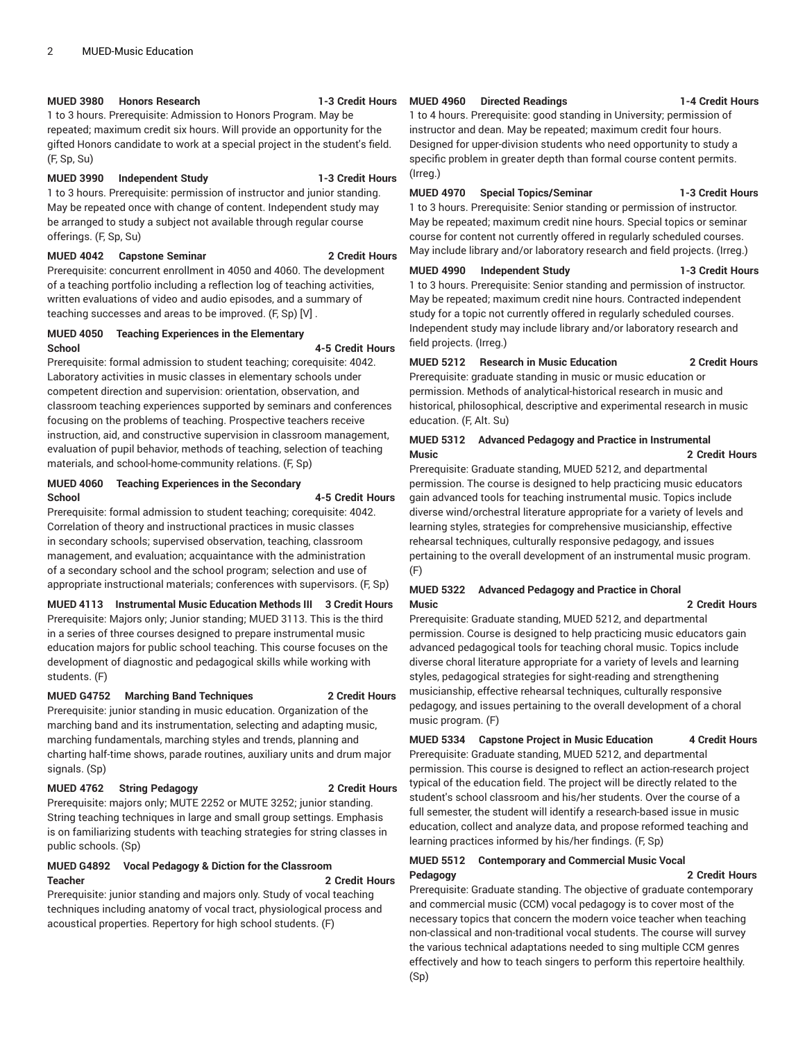### **MUED 3980 Honors Research 1-3 Credit Hours**

1 to 3 hours. Prerequisite: Admission to Honors Program. May be repeated; maximum credit six hours. Will provide an opportunity for the gifted Honors candidate to work at a special project in the student's field. (F, Sp, Su)

### **MUED 3990 Independent Study 1-3 Credit Hours**

1 to 3 hours. Prerequisite: permission of instructor and junior standing. May be repeated once with change of content. Independent study may be arranged to study a subject not available through regular course offerings. (F, Sp, Su)

### **MUED 4042 Capstone Seminar 2 Credit Hours**

Prerequisite: concurrent enrollment in 4050 and 4060. The development of a teaching portfolio including a reflection log of teaching activities, written evaluations of video and audio episodes, and a summary of teaching successes and areas to be improved. (F, Sp) [V] .

### **MUED 4050 Teaching Experiences in the Elementary School 4-5 Credit Hours**

Prerequisite: formal admission to student teaching; corequisite: 4042. Laboratory activities in music classes in elementary schools under competent direction and supervision: orientation, observation, and classroom teaching experiences supported by seminars and conferences focusing on the problems of teaching. Prospective teachers receive instruction, aid, and constructive supervision in classroom management, evaluation of pupil behavior, methods of teaching, selection of teaching materials, and school-home-community relations. (F, Sp)

### **MUED 4060 Teaching Experiences in the Secondary School 4-5 Credit Hours**

Prerequisite: formal admission to student teaching; corequisite: 4042. Correlation of theory and instructional practices in music classes in secondary schools; supervised observation, teaching, classroom management, and evaluation; acquaintance with the administration of a secondary school and the school program; selection and use of appropriate instructional materials; conferences with supervisors. (F, Sp)

### **MUED 4113 Instrumental Music Education Methods III 3 Credit Hours**

Prerequisite: Majors only; Junior standing; MUED 3113. This is the third in a series of three courses designed to prepare instrumental music education majors for public school teaching. This course focuses on the development of diagnostic and pedagogical skills while working with students. (F)

### **MUED G4752 Marching Band Techniques 2 Credit Hours**

Prerequisite: junior standing in music education. Organization of the marching band and its instrumentation, selecting and adapting music, marching fundamentals, marching styles and trends, planning and charting half-time shows, parade routines, auxiliary units and drum major signals. (Sp)

### **MUED 4762 String Pedagogy 2 Credit Hours**

Prerequisite: majors only; MUTE 2252 or MUTE 3252; junior standing. String teaching techniques in large and small group settings. Emphasis is on familiarizing students with teaching strategies for string classes in public schools. (Sp)

### **MUED G4892 Vocal Pedagogy & Diction for the Classroom Teacher 2 Credit Hours**

Prerequisite: junior standing and majors only. Study of vocal teaching techniques including anatomy of vocal tract, physiological process and acoustical properties. Repertory for high school students. (F)

### **MUED 4960 Directed Readings 1-4 Credit Hours**

1 to 4 hours. Prerequisite: good standing in University; permission of instructor and dean. May be repeated; maximum credit four hours. Designed for upper-division students who need opportunity to study a specific problem in greater depth than formal course content permits. (Irreg.)

### **MUED 4970 Special Topics/Seminar 1-3 Credit Hours**

1 to 3 hours. Prerequisite: Senior standing or permission of instructor. May be repeated; maximum credit nine hours. Special topics or seminar course for content not currently offered in regularly scheduled courses. May include library and/or laboratory research and field projects. (Irreg.)

### **MUED 4990 Independent Study 1-3 Credit Hours**

1 to 3 hours. Prerequisite: Senior standing and permission of instructor. May be repeated; maximum credit nine hours. Contracted independent study for a topic not currently offered in regularly scheduled courses. Independent study may include library and/or laboratory research and field projects. (Irreg.)

### **MUED 5212 Research in Music Education 2 Credit Hours**

Prerequisite: graduate standing in music or music education or permission. Methods of analytical-historical research in music and historical, philosophical, descriptive and experimental research in music education. (F, Alt. Su)

### **MUED 5312 Advanced Pedagogy and Practice in Instrumental Music 2 Credit Hours**

Prerequisite: Graduate standing, MUED 5212, and departmental permission. The course is designed to help practicing music educators gain advanced tools for teaching instrumental music. Topics include diverse wind/orchestral literature appropriate for a variety of levels and learning styles, strategies for comprehensive musicianship, effective rehearsal techniques, culturally responsive pedagogy, and issues pertaining to the overall development of an instrumental music program. (F)

### **MUED 5322 Advanced Pedagogy and Practice in Choral Music 2 Credit Hours**

Prerequisite: Graduate standing, MUED 5212, and departmental permission. Course is designed to help practicing music educators gain advanced pedagogical tools for teaching choral music. Topics include diverse choral literature appropriate for a variety of levels and learning styles, pedagogical strategies for sight-reading and strengthening musicianship, effective rehearsal techniques, culturally responsive pedagogy, and issues pertaining to the overall development of a choral music program. (F)

**MUED 5334 Capstone Project in Music Education 4 Credit Hours** Prerequisite: Graduate standing, MUED 5212, and departmental permission. This course is designed to reflect an action-research project

typical of the education field. The project will be directly related to the student's school classroom and his/her students. Over the course of a full semester, the student will identify a research-based issue in music education, collect and analyze data, and propose reformed teaching and learning practices informed by his/her findings. (F, Sp)

### **MUED 5512 Contemporary and Commercial Music Vocal Pedagogy 2 Credit Hours**

Prerequisite: Graduate standing. The objective of graduate contemporary and commercial music (CCM) vocal pedagogy is to cover most of the necessary topics that concern the modern voice teacher when teaching non-classical and non-traditional vocal students. The course will survey the various technical adaptations needed to sing multiple CCM genres effectively and how to teach singers to perform this repertoire healthily. (Sp)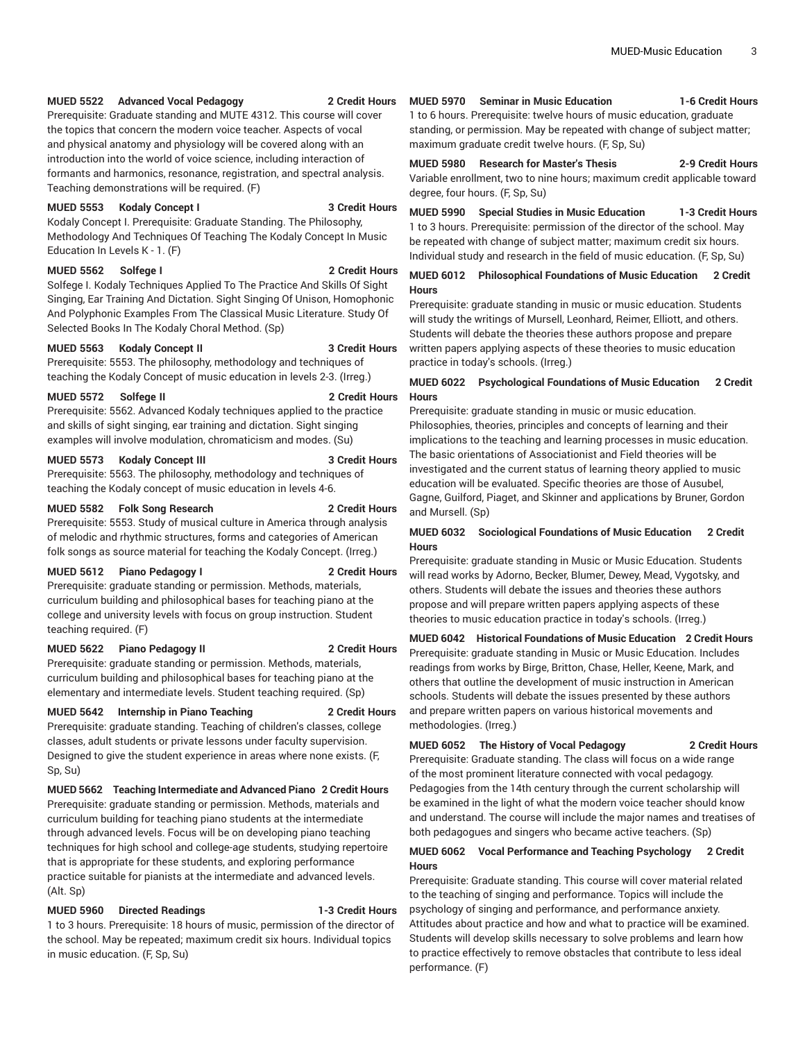### **MUED 5522 Advanced Vocal Pedagogy 2 Credit Hours**

Prerequisite: Graduate standing and MUTE 4312. This course will cover the topics that concern the modern voice teacher. Aspects of vocal and physical anatomy and physiology will be covered along with an introduction into the world of voice science, including interaction of formants and harmonics, resonance, registration, and spectral analysis. Teaching demonstrations will be required. (F)

### **MUED 5553 Kodaly Concept I 3 Credit Hours**

Kodaly Concept I. Prerequisite: Graduate Standing. The Philosophy, Methodology And Techniques Of Teaching The Kodaly Concept In Music Education In Levels K - 1. (F)

### **MUED 5562 Solfege I 2 Credit Hours**

Solfege I. Kodaly Techniques Applied To The Practice And Skills Of Sight Singing, Ear Training And Dictation. Sight Singing Of Unison, Homophonic And Polyphonic Examples From The Classical Music Literature. Study Of Selected Books In The Kodaly Choral Method. (Sp)

### **MUED 5563 Kodaly Concept II 3 Credit Hours**

Prerequisite: 5553. The philosophy, methodology and techniques of teaching the Kodaly Concept of music education in levels 2-3. (Irreg.)

### **MUED 5572 Solfege II 2 Credit Hours**

Prerequisite: 5562. Advanced Kodaly techniques applied to the practice and skills of sight singing, ear training and dictation. Sight singing examples will involve modulation, chromaticism and modes. (Su)

### **MUED 5573 Kodaly Concept III 3 Credit Hours**

Prerequisite: 5563. The philosophy, methodology and techniques of teaching the Kodaly concept of music education in levels 4-6.

### **MUED 5582 Folk Song Research 2 Credit Hours**

Prerequisite: 5553. Study of musical culture in America through analysis of melodic and rhythmic structures, forms and categories of American folk songs as source material for teaching the Kodaly Concept. (Irreg.)

### **MUED 5612 Piano Pedagogy I 2 Credit Hours**

Prerequisite: graduate standing or permission. Methods, materials, curriculum building and philosophical bases for teaching piano at the college and university levels with focus on group instruction. Student teaching required. (F)

### **MUED 5622 Piano Pedagogy II 2 Credit Hours**

Prerequisite: graduate standing or permission. Methods, materials, curriculum building and philosophical bases for teaching piano at the elementary and intermediate levels. Student teaching required. (Sp)

### **MUED 5642 Internship in Piano Teaching 2 Credit Hours**

Prerequisite: graduate standing. Teaching of children's classes, college classes, adult students or private lessons under faculty supervision. Designed to give the student experience in areas where none exists. (F, Sp, Su)

**MUED 5662 Teaching Intermediate and Advanced Piano 2 Credit Hours** Prerequisite: graduate standing or permission. Methods, materials and curriculum building for teaching piano students at the intermediate through advanced levels. Focus will be on developing piano teaching techniques for high school and college-age students, studying repertoire that is appropriate for these students, and exploring performance practice suitable for pianists at the intermediate and advanced levels. (Alt. Sp)

### **MUED 5960 Directed Readings 1-3 Credit Hours**

1 to 3 hours. Prerequisite: 18 hours of music, permission of the director of the school. May be repeated; maximum credit six hours. Individual topics in music education. (F, Sp, Su)

**MUED 5970 Seminar in Music Education 1-6 Credit Hours** 1 to 6 hours. Prerequisite: twelve hours of music education, graduate standing, or permission. May be repeated with change of subject matter;

maximum graduate credit twelve hours. (F, Sp, Su)

### **MUED 5980 Research for Master's Thesis 2-9 Credit Hours** Variable enrollment, two to nine hours; maximum credit applicable toward degree, four hours. (F, Sp, Su)

**MUED 5990 Special Studies in Music Education 1-3 Credit Hours** 1 to 3 hours. Prerequisite: permission of the director of the school. May be repeated with change of subject matter; maximum credit six hours. Individual study and research in the field of music education. (F, Sp, Su)

### **MUED 6012 Philosophical Foundations of Music Education 2 Credit Hours**

Prerequisite: graduate standing in music or music education. Students will study the writings of Mursell, Leonhard, Reimer, Elliott, and others. Students will debate the theories these authors propose and prepare written papers applying aspects of these theories to music education practice in today's schools. (Irreg.)

### **MUED 6022 Psychological Foundations of Music Education 2 Credit Hours**

Prerequisite: graduate standing in music or music education. Philosophies, theories, principles and concepts of learning and their implications to the teaching and learning processes in music education. The basic orientations of Associationist and Field theories will be investigated and the current status of learning theory applied to music education will be evaluated. Specific theories are those of Ausubel, Gagne, Guilford, Piaget, and Skinner and applications by Bruner, Gordon and Mursell. (Sp)

### **MUED 6032 Sociological Foundations of Music Education 2 Credit Hours**

Prerequisite: graduate standing in Music or Music Education. Students will read works by Adorno, Becker, Blumer, Dewey, Mead, Vygotsky, and others. Students will debate the issues and theories these authors propose and will prepare written papers applying aspects of these theories to music education practice in today's schools. (Irreg.)

### **MUED 6042 Historical Foundations of Music Education 2 Credit Hours** Prerequisite: graduate standing in Music or Music Education. Includes readings from works by Birge, Britton, Chase, Heller, Keene, Mark, and others that outline the development of music instruction in American schools. Students will debate the issues presented by these authors and prepare written papers on various historical movements and methodologies. (Irreg.)

### **MUED 6052 The History of Vocal Pedagogy 2 Credit Hours**

Prerequisite: Graduate standing. The class will focus on a wide range of the most prominent literature connected with vocal pedagogy. Pedagogies from the 14th century through the current scholarship will be examined in the light of what the modern voice teacher should know and understand. The course will include the major names and treatises of both pedagogues and singers who became active teachers. (Sp)

### **MUED 6062 Vocal Performance and Teaching Psychology 2 Credit Hours**

Prerequisite: Graduate standing. This course will cover material related to the teaching of singing and performance. Topics will include the psychology of singing and performance, and performance anxiety. Attitudes about practice and how and what to practice will be examined. Students will develop skills necessary to solve problems and learn how to practice effectively to remove obstacles that contribute to less ideal performance. (F)